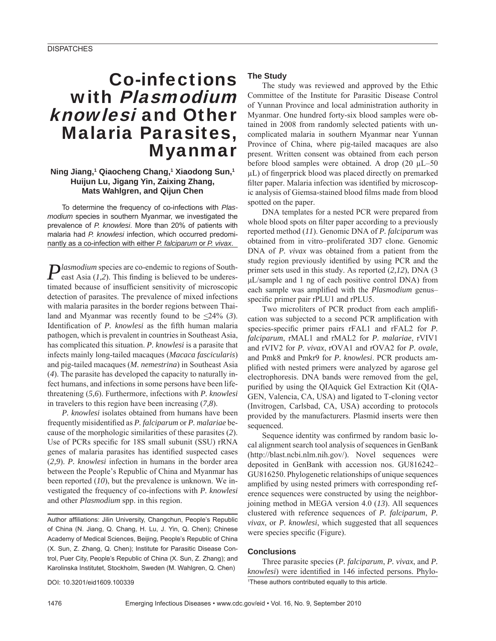# Co-infections with Plasmodium knowlesi and Other Malaria Parasites, Myanmar

# **Ning Jiang,1 Qiaocheng Chang,1 Xiaodong Sun,1 Huijun Lu, Jigang Yin, Zaixing Zhang, Mats Wahlgren, and Qijun Chen**

To determine the frequency of co-infections with *Plasmodium* species in southern Myanmar, we investigated the prevalence of *P. knowlesi*. More than 20% of patients with malaria had *P. knowlesi* infection, which occurred predominantly as a co-infection with either *P. falciparum* or *P. vivax*.

*Plasmodium* species are co-endemic to regions of South-<br>east Asia (1.2) This fact: east Asia  $(1,2)$ . This finding is believed to be underestimated because of insufficient sensitivity of microscopic detection of parasites. The prevalence of mixed infections with malaria parasites in the border regions between Thailand and Myanmar was recently found to be <24% (*3*). Identification of *P. knowlesi* as the fifth human malaria pathogen, which is prevalent in countries in Southeast Asia, has complicated this situation. *P. knowlesi* is a parasite that infects mainly long-tailed macaques (*Macaca fascicularis*) and pig-tailed macaques (*M. nemestrina*) in Southeast Asia (*4*). The parasite has developed the capacity to naturally infect humans, and infections in some persons have been lifethreatening (*5,6*). Furthermore, infections with *P. knowlesi* in travelers to this region have been increasing (*7,8*).

*P. knowlesi* isolates obtained from humans have been frequently misidentified as *P. falciparum* or *P. malariae* because of the morphologic similarities of these parasites (*2*). Use of PCRs specific for 18S small subunit (SSU) rRNA genes of malaria parasites has identified suspected cases (*2,9*). *P. knowlesi* infection in humans in the border area between the People's Republic of China and Myanmar has been reported (*10*), but the prevalence is unknown. We investigated the frequency of co-infections with *P. knowlesi* and other *Plasmodium* spp. in this region.

Author affiliations: Jilin University, Changchun, People's Republic of China (N. Jiang, Q. Chang, H. Lu, J. Yin, Q. Chen); Chinese Academy of Medical Sciences, Beijing, People's Republic of China (X. Sun, Z. Zhang, Q. Chen); Institute for Parasitic Disease Control, Puer City, People's Republic of China (X. Sun, Z. Zhang); and Karolinska Institutet, Stockholm, Sweden (M. Wahlgren, Q. Chen)

DOI: 10.3201/eid1609.100339

# **The Study**

The study was reviewed and approved by the Ethic Committee of the Institute for Parasitic Disease Control of Yunnan Province and local administration authority in Myanmar. One hundred forty-six blood samples were obtained in 2008 from randomly selected patients with uncomplicated malaria in southern Myanmar near Yunnan Province of China, where pig-tailed macaques are also present. Written consent was obtained from each person before blood samples were obtained. A drop (20 μL–50  $\mu$ L) of fingerprick blood was placed directly on premarked filter paper. Malaria infection was identified by microscopic analysis of Giemsa-stained blood films made from blood spotted on the paper.

DNA templates for a nested PCR were prepared from whole blood spots on filter paper according to a previously reported method (*11*). Genomic DNA of *P. falciparum* was obtained from in vitro–proliferated 3D7 clone. Genomic DNA of *P. vivax* was obtained from a patient from the study region previously identified by using PCR and the primer sets used in this study. As reported (*2,12*), DNA (3 μL/sample and 1 ng of each positive control DNA) from each sample was amplified with the *Plasmodium* genus– specific primer pair rPLU1 and rPLU5.

Two microliters of PCR product from each amplification was subjected to a second PCR amplification with species-specific primer pairs rFAL1 and rFAL2 for *P*. *falciparum*, rMAL1 and rMAL2 for *P. malariae*, rVIV1 and rVIV2 for *P. vivax*, rOVA1 and rOVA2 for *P. ovale*, and Pmk8 and Pmkr9 for *P. knowlesi*. PCR products amplified with nested primers were analyzed by agarose gel electrophoresis. DNA bands were removed from the gel, purified by using the QIAquick Gel Extraction Kit (QIA-GEN, Valencia, CA, USA) and ligated to T-cloning vector (Invitrogen, Carlsbad, CA, USA) according to protocols provided by the manufacturers. Plasmid inserts were then sequenced.

Sequence identity was confirmed by random basic local alignment search tool analysis of sequences in GenBank (http://blast.ncbi.nlm.nih.gov/). Novel sequences were deposited in GenBank with accession nos. GU816242– GU816250. Phylogenetic relationships of unique sequences amplified by using nested primers with corresponding reference sequences were constructed by using the neighborjoining method in MEGA version 4.0 (*13*). All sequences clustered with reference sequences of *P. falciparum*, *P. vivax*, or *P. knowlesi*, which suggested that all sequences were species specific (Figure).

#### **Conclusions**

Three parasite species (*P. falciparum*, *P. vivax*, and *P. knowlesi*) were identified in 146 infected persons. Phylo-1 These authors contributed equally to this article.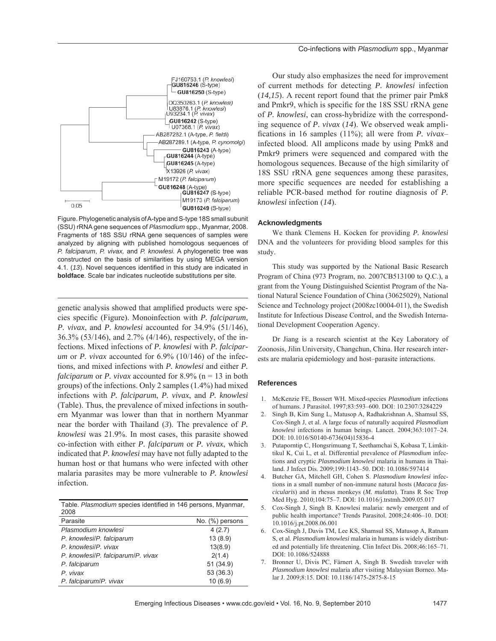

Figure. Phylogenetic analysis of A-type and S-type 18S small subunit (SSU) rRNA gene sequences of *Plasmodium* spp., Myanmar, 2008. Fragments of 18S SSU rRNA gene sequences of samples were analyzed by aligning with published homologous sequences of *P. falciparum*, *P. vivax,* and *P. knowlesi.* A phylogenetic tree was constructed on the basis of similarities by using MEGA version 4.1. (13). Novel sequences identified in this study are indicated in **boldface**. Scale bar indicates nucleotide substitutions per site.

genetic analysis showed that amplified products were species specific (Figure). Monoinfection with *P. falciparum*, *P. vivax*, and *P. knowlesi* accounted for 34.9% (51/146), 36.3% (53/146), and 2.7% (4/146), respectively, of the infections. Mixed infections of *P. knowlesi* with *P. falciparum* or *P. vivax* accounted for 6.9% (10/146) of the infections, and mixed infections with *P. knowlesi* and either *P. falciparum* or *P. vivax* accounted for 8.9% (n = 13 in both groups) of the infections. Only 2 samples (1.4%) had mixed infections with *P. falciparum*, *P. vivax*, and *P. knowlesi* (Table). Thus, the prevalence of mixed infections in southern Myanmar was lower than that in northern Myanmar near the border with Thailand (*3*). The prevalence of *P. knowlesi* was 21.9%. In most cases, this parasite showed co-infection with either *P. falciparum* or *P. vivax*, which indicated that *P. knowlesi* may have not fully adapted to the human host or that humans who were infected with other malaria parasites may be more vulnerable to *P. knowlesi* infection.

Table. *Plasmodium* species identified in 146 persons, Myanmar, 2008

| Parasite                             | No. (%) persons |
|--------------------------------------|-----------------|
| Plasmodium knowlesi                  | 4(2.7)          |
| P. knowlesi/P. falciparum            | 13(8.9)         |
| P. knowlesi/P. vivax                 | 13(8.9)         |
| P. knowlesil P. falciparuml P. vivax | 2(1.4)          |
| P. falciparum                        | 51(34.9)        |
| P. vivax                             | 53 (36.3)       |
| P. falciparum/P. vivax               | 10(6.9)         |

Our study also emphasizes the need for improvement of current methods for detecting *P. knowlesi* infection (*14,15*). A recent report found that the primer pair Pmk8 and Pmkr9, which is specific for the 18S SSU rRNA gene of *P. knowlesi*, can cross-hybridize with the corresponding sequence of *P. vivax* (*14*). We observed weak amplifications in 16 samples (11%); all were from *P. vivax*infected blood. All amplicons made by using Pmk8 and Pmkr9 primers were sequenced and compared with the homologous sequences. Because of the high similarity of 18S SSU rRNA gene sequences among these parasites, more specific sequences are needed for establishing a reliable PCR-based method for routine diagnosis of *P. knowlesi* infection (*14*).

#### **Acknowledgments**

We thank Clemens H. Kocken for providing *P. knowlesi* DNA and the volunteers for providing blood samples for this study.

This study was supported by the National Basic Research Program of China (973 Program, no. 2007CB513100 to Q.C.), a grant from the Young Distinguished Scientist Program of the National Natural Science Foundation of China (30625029), National Science and Technology project (2008zc10004-011), the Swedish Institute for Infectious Disease Control, and the Swedish International Development Cooperation Agency.

Dr Jiang is a research scientist at the Key Laboratory of Zoonosis, Jilin University, Changchun, China. Her research interests are malaria epidemiology and host–parasite interactions.

### **References**

- 1. McKenzie FE, Bossert WH. Mixed-species *Plasmodium* infections of humans. J Parasitol. 1997;83:593–600. DOI: 10.2307/3284229
- 2. Singh B, Kim Sung L, Matusop A, Radhakrishnan A, Shamsul SS, Cox-Singh J, et al. A large focus of naturally acquired *Plasmodium knowlesi* infections in human beings. Lancet. 2004;363:1017–24. DOI: 10.1016/S0140-6736(04)15836-4
- 3. Putaporntip C, Hongsrimuang T, Seethamchai S, Kobasa T, Limkittikul K, Cui L, et al. Differential prevalence of *Plasmodium* infections and cryptic *Plasmodium knowlesi* malaria in humans in Thailand. J Infect Dis. 2009;199:1143–50. DOI: 10.1086/597414
- 4. Butcher GA, Mitchell GH, Cohen S. *Plasmodium knowlesi* infections in a small number of non-immune natural hosts (*Macaca fascicularis*) and in rhesus monkeys (*M. mulatta*). Trans R Soc Trop Med Hyg. 2010;104:75–7. DOI: 10.1016/j.trstmh.2009.05.017
- 5. Cox-Singh J, Singh B. Knowlesi malaria: newly emergent and of public health importance? Trends Parasitol. 2008;24:406–10. DOI: 10.1016/j.pt.2008.06.001
- 6. Cox-Singh J, Davis TM, Lee KS, Shamsul SS, Matusop A, Ratnam S, et al. *Plasmodium knowlesi* malaria in humans is widely distributed and potentially life threatening. Clin Infect Dis. 2008;46:165–71. DOI: 10.1086/524888
- 7. Bronner U, Divis PC, Färnert A, Singh B. Swedish traveler with *Plasmodium knowlesi* malaria after visiting Malaysian Borneo. Malar J. 2009;8:15. DOI: 10.1186/1475-2875-8-15